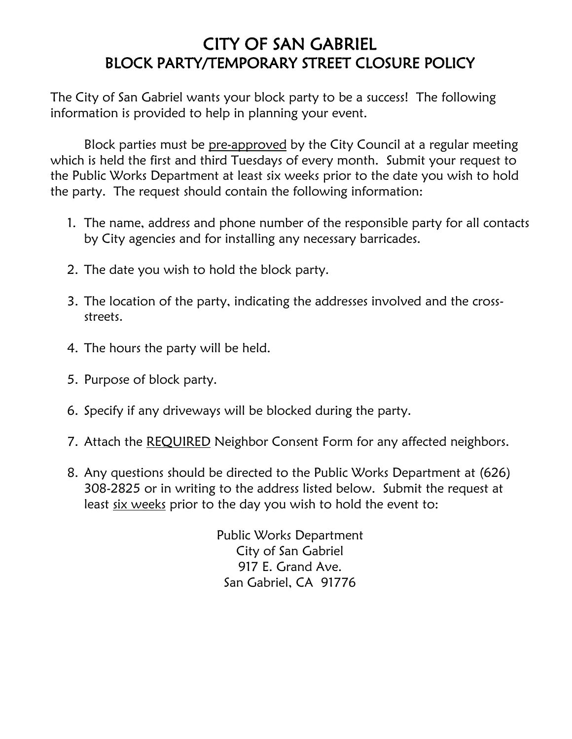### CITY OF SAN GABRIEL BLOCK PARTY/TEMPORARY STREET CLOSURE POLICY

The City of San Gabriel wants your block party to be a success! The following information is provided to help in planning your event.

Block parties must be pre-approved by the City Council at a regular meeting which is held the first and third Tuesdays of every month. Submit your request to the Public Works Department at least six weeks prior to the date you wish to hold the party. The request should contain the following information:

- 1. The name, address and phone number of the responsible party for all contacts by City agencies and for installing any necessary barricades.
- 2. The date you wish to hold the block party.
- 3. The location of the party, indicating the addresses involved and the crossstreets.
- 4. The hours the party will be held.
- 5. Purpose of block party.
- 6. Specify if any driveways will be blocked during the party.
- 7. Attach the REQUIRED Neighbor Consent Form for any affected neighbors.
- 8. Any questions should be directed to the Public Works Department at (626) 308-2825 or in writing to the address listed below. Submit the request at least six weeks prior to the day you wish to hold the event to:

Public Works Department City of San Gabriel 917 E. Grand Ave. San Gabriel, CA 91776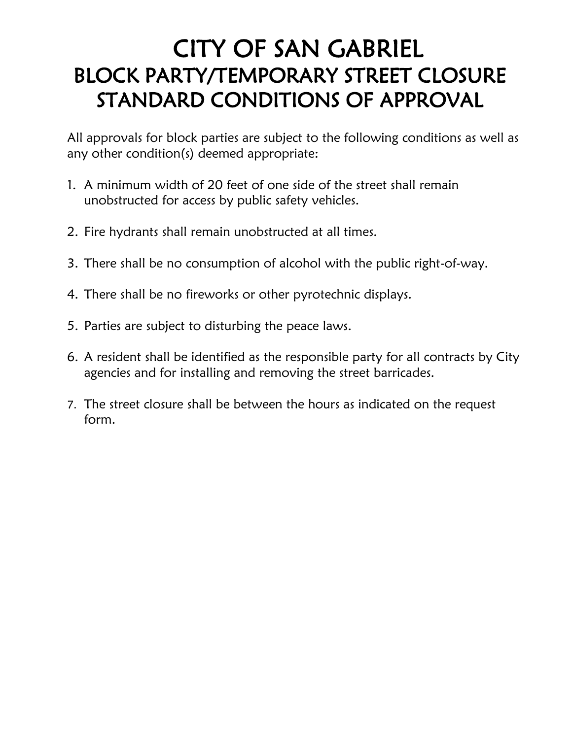# CITY OF SAN GABRIEL BLOCK PARTY/TEMPORARY STREET CLOSURE STANDARD CONDITIONS OF APPROVAL

All approvals for block parties are subject to the following conditions as well as any other condition(s) deemed appropriate:

- 1. A minimum width of 20 feet of one side of the street shall remain unobstructed for access by public safety vehicles.
- 2. Fire hydrants shall remain unobstructed at all times.
- 3. There shall be no consumption of alcohol with the public right-of-way.
- 4. There shall be no fireworks or other pyrotechnic displays.
- 5. Parties are subject to disturbing the peace laws.
- 6. A resident shall be identified as the responsible party for all contracts by City agencies and for installing and removing the street barricades.
- 7. The street closure shall be between the hours as indicated on the request form.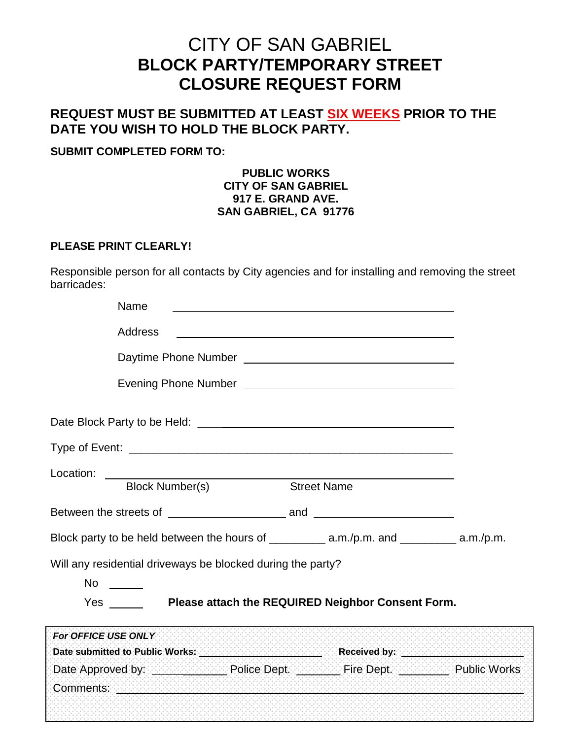### CITY OF SAN GABRIEL **BLOCK PARTY/TEMPORARY STREET CLOSURE REQUEST FORM**

### **REQUEST MUST BE SUBMITTED AT LEAST SIX WEEKS PRIOR TO THE DATE YOU WISH TO HOLD THE BLOCK PARTY.**

#### **SUBMIT COMPLETED FORM TO:**

#### **PUBLIC WORKS CITY OF SAN GABRIEL 917 E. GRAND AVE. SAN GABRIEL, CA 91776**

#### **PLEASE PRINT CLEARLY!**

Responsible person for all contacts by City agencies and for installing and removing the street barricades:

| Name                                                                                                                                              |                    |                                                   |  |
|---------------------------------------------------------------------------------------------------------------------------------------------------|--------------------|---------------------------------------------------|--|
| <b>Address</b>                                                                                                                                    |                    |                                                   |  |
|                                                                                                                                                   |                    |                                                   |  |
|                                                                                                                                                   |                    |                                                   |  |
|                                                                                                                                                   |                    |                                                   |  |
|                                                                                                                                                   |                    |                                                   |  |
| Location: _____<br><b>Block Number(s)</b>                                                                                                         | <b>Street Name</b> |                                                   |  |
|                                                                                                                                                   |                    |                                                   |  |
| Block party to be held between the hours of _____________ a.m./p.m. and ___________ a.m./p.m.                                                     |                    |                                                   |  |
| Will any residential driveways be blocked during the party?<br>No $\frac{1}{\sqrt{1-\frac{1}{2}}\sqrt{1-\frac{1}{2}}\left( \frac{1}{2}+1\right)}$ |                    |                                                   |  |
| <b>Yes</b>                                                                                                                                        |                    | Please attach the REQUIRED Neighbor Consent Form. |  |
| For OFFICE USE ONLY                                                                                                                               |                    |                                                   |  |
| Date submitted to Public Works: Next and Section of the Received by: Next and Section 2014                                                        |                    |                                                   |  |
|                                                                                                                                                   |                    |                                                   |  |
| Comments: with the comments of the comments of the comments of the comments of the comments of the comments of                                    |                    |                                                   |  |
|                                                                                                                                                   |                    |                                                   |  |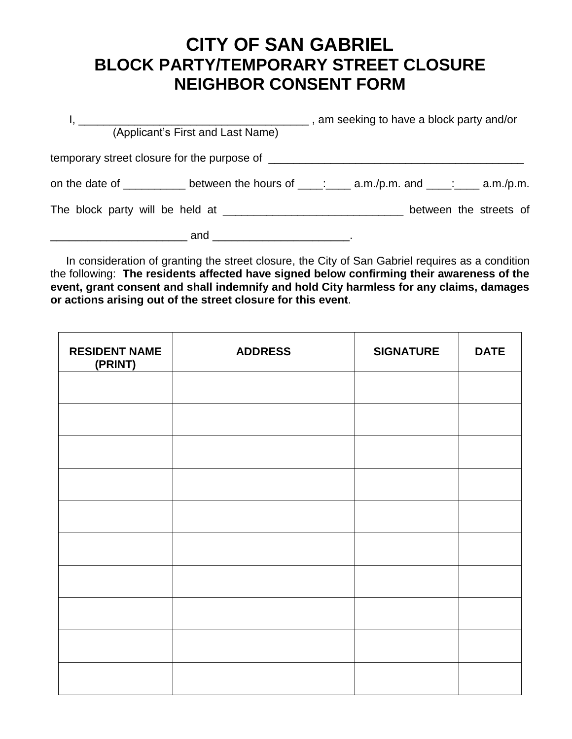## **CITY OF SAN GABRIEL BLOCK PARTY/TEMPORARY STREET CLOSURE NEIGHBOR CONSENT FORM**

| (Applicant's First and Last Name)                                                           | am seeking to have a block party and/or (and in the same seeking to have a block party and/or |  |
|---------------------------------------------------------------------------------------------|-----------------------------------------------------------------------------------------------|--|
|                                                                                             |                                                                                               |  |
| on the date of __________ between the hours of ____: ____ a.m./p.m. and ____: ___ a.m./p.m. |                                                                                               |  |
|                                                                                             | between the streets of                                                                        |  |
| $\qquad \qquad \qquad \text{and} \qquad \qquad \qquad \text{.}$                             |                                                                                               |  |

 In consideration of granting the street closure, the City of San Gabriel requires as a condition the following: **The residents affected have signed below confirming their awareness of the event, grant consent and shall indemnify and hold City harmless for any claims, damages or actions arising out of the street closure for this event**.

| <b>RESIDENT NAME</b><br>(PRINT) | <b>ADDRESS</b> | <b>SIGNATURE</b> | <b>DATE</b> |
|---------------------------------|----------------|------------------|-------------|
|                                 |                |                  |             |
|                                 |                |                  |             |
|                                 |                |                  |             |
|                                 |                |                  |             |
|                                 |                |                  |             |
|                                 |                |                  |             |
|                                 |                |                  |             |
|                                 |                |                  |             |
|                                 |                |                  |             |
|                                 |                |                  |             |